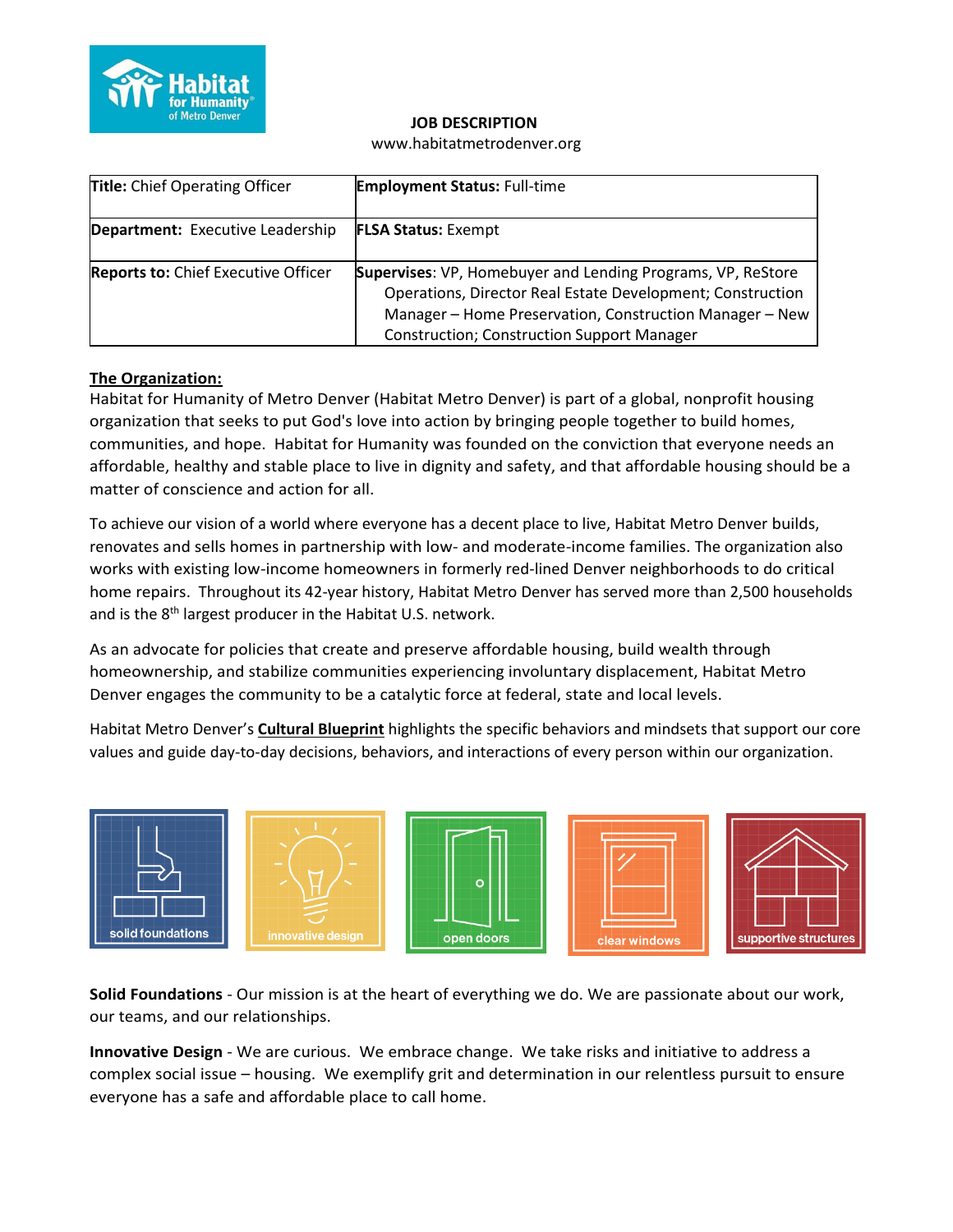

#### **JOB DESCRIPTION**

www.habitatmetrodenver.org

| <b>Title:</b> Chief Operating Officer      | <b>Employment Status: Full-time</b>                                                                                                                                                                                                       |
|--------------------------------------------|-------------------------------------------------------------------------------------------------------------------------------------------------------------------------------------------------------------------------------------------|
| Department: Executive Leadership           | <b>FLSA Status: Exempt</b>                                                                                                                                                                                                                |
| <b>Reports to: Chief Executive Officer</b> | Supervises: VP, Homebuyer and Lending Programs, VP, ReStore<br>Operations, Director Real Estate Development; Construction<br>Manager - Home Preservation, Construction Manager - New<br><b>Construction; Construction Support Manager</b> |

#### **The Organization:**

Habitat for Humanity of Metro Denver (Habitat Metro Denver) is part of a global, nonprofit housing organization that seeks to put God's love into action by bringing people together to build homes, communities, and hope. Habitat for Humanity was founded on the conviction that everyone needs an affordable, healthy and stable place to live in dignity and safety, and that affordable housing should be a matter of conscience and action for all.

To achieve our vision of a world where everyone has a decent place to live, Habitat Metro Denver builds, renovates and sells homes in partnership with low- and moderate-income families. The organization also works with existing low-income homeowners in formerly red-lined Denver neighborhoods to do critical home repairs. Throughout its 42-year history, Habitat Metro Denver has served more than 2,500 households and is the 8<sup>th</sup> largest producer in the Habitat U.S. network.

As an advocate for policies that create and preserve affordable housing, build wealth through homeownership, and stabilize communities experiencing involuntary displacement, Habitat Metro Denver engages the community to be a catalytic force at federal, state and local levels.

Habitat Metro Denver's **Cultural Blueprint** highlights the specific behaviors and mindsets that support our core values and guide day-to-day decisions, behaviors, and interactions of every person within our organization.



**Solid Foundations** - Our mission is at the heart of everything we do. We are passionate about our work, our teams, and our relationships.

**Innovative Design** - We are curious. We embrace change. We take risks and initiative to address a complex social issue – housing. We exemplify grit and determination in our relentless pursuit to ensure everyone has a safe and affordable place to call home.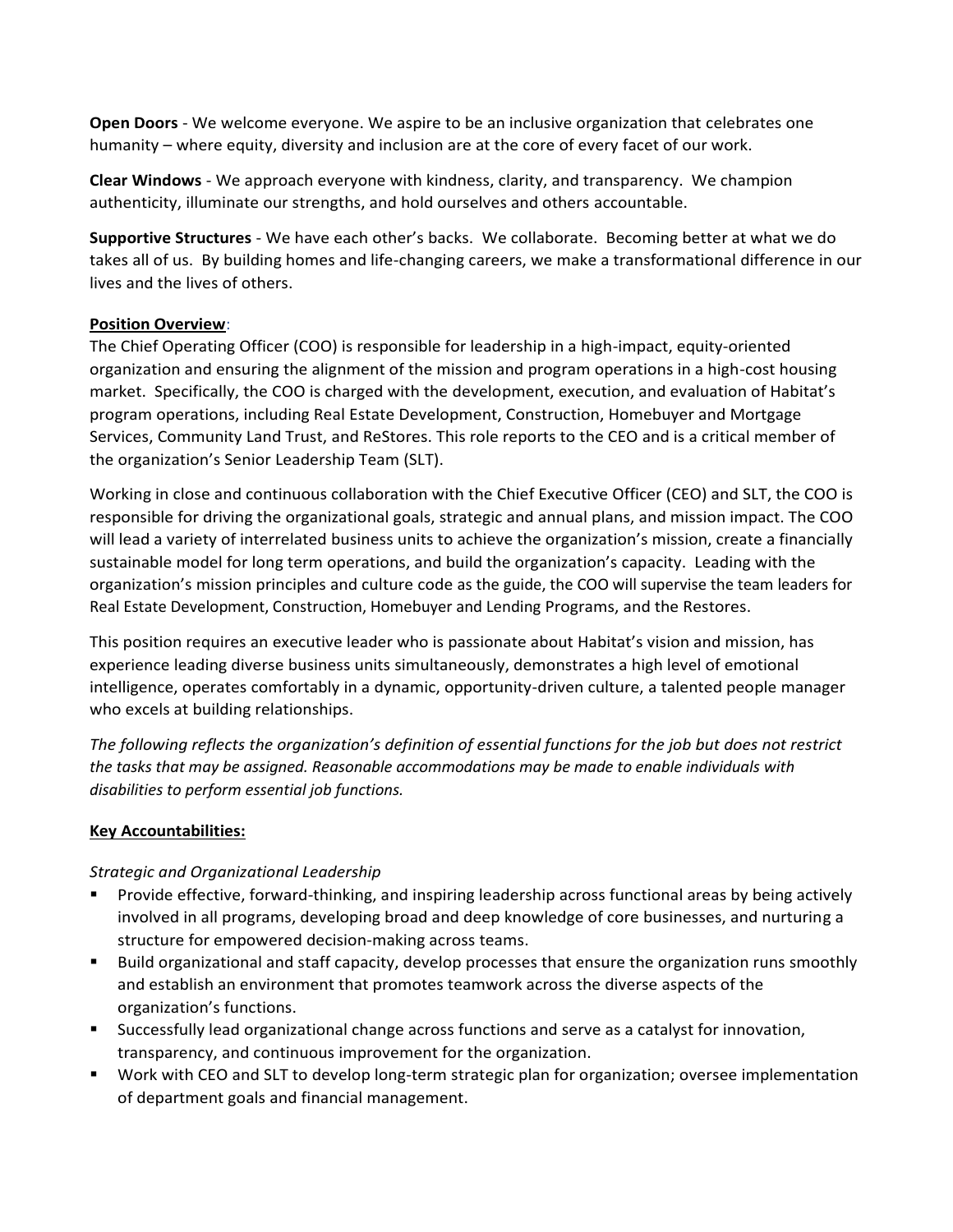**Open Doors** - We welcome everyone. We aspire to be an inclusive organization that celebrates one humanity – where equity, diversity and inclusion are at the core of every facet of our work.

**Clear Windows** - We approach everyone with kindness, clarity, and transparency. We champion authenticity, illuminate our strengths, and hold ourselves and others accountable.

**Supportive Structures** - We have each other's backs. We collaborate. Becoming better at what we do takes all of us. By building homes and life-changing careers, we make a transformational difference in our lives and the lives of others.

## **Position Overview**:

The Chief Operating Officer (COO) is responsible for leadership in a high-impact, equity-oriented organization and ensuring the alignment of the mission and program operations in a high-cost housing market. Specifically, the COO is charged with the development, execution, and evaluation of Habitat's program operations, including Real Estate Development, Construction, Homebuyer and Mortgage Services, Community Land Trust, and ReStores. This role reports to the CEO and is a critical member of the organization's Senior Leadership Team (SLT).

Working in close and continuous collaboration with the Chief Executive Officer (CEO) and SLT, the COO is responsible for driving the organizational goals, strategic and annual plans, and mission impact. The COO will lead a variety of interrelated business units to achieve the organization's mission, create a financially sustainable model for long term operations, and build the organization's capacity. Leading with the organization's mission principles and culture code as the guide, the COO will supervise the team leaders for Real Estate Development, Construction, Homebuyer and Lending Programs, and the Restores.

This position requires an executive leader who is passionate about Habitat's vision and mission, has experience leading diverse business units simultaneously, demonstrates a high level of emotional intelligence, operates comfortably in a dynamic, opportunity-driven culture, a talented people manager who excels at building relationships.

*The following reflects the organization's definition of essential functions for the job but does not restrict the tasks that may be assigned. Reasonable accommodations may be made to enable individuals with disabilities to perform essential job functions.*

# **Key Accountabilities:**

## *Strategic and Organizational Leadership*

- Provide effective, forward-thinking, and inspiring leadership across functional areas by being actively involved in all programs, developing broad and deep knowledge of core businesses, and nurturing a structure for empowered decision-making across teams.
- Build organizational and staff capacity, develop processes that ensure the organization runs smoothly and establish an environment that promotes teamwork across the diverse aspects of the organization's functions.
- Successfully lead organizational change across functions and serve as a catalyst for innovation, transparency, and continuous improvement for the organization.
- Work with CEO and SLT to develop long-term strategic plan for organization; oversee implementation of department goals and financial management.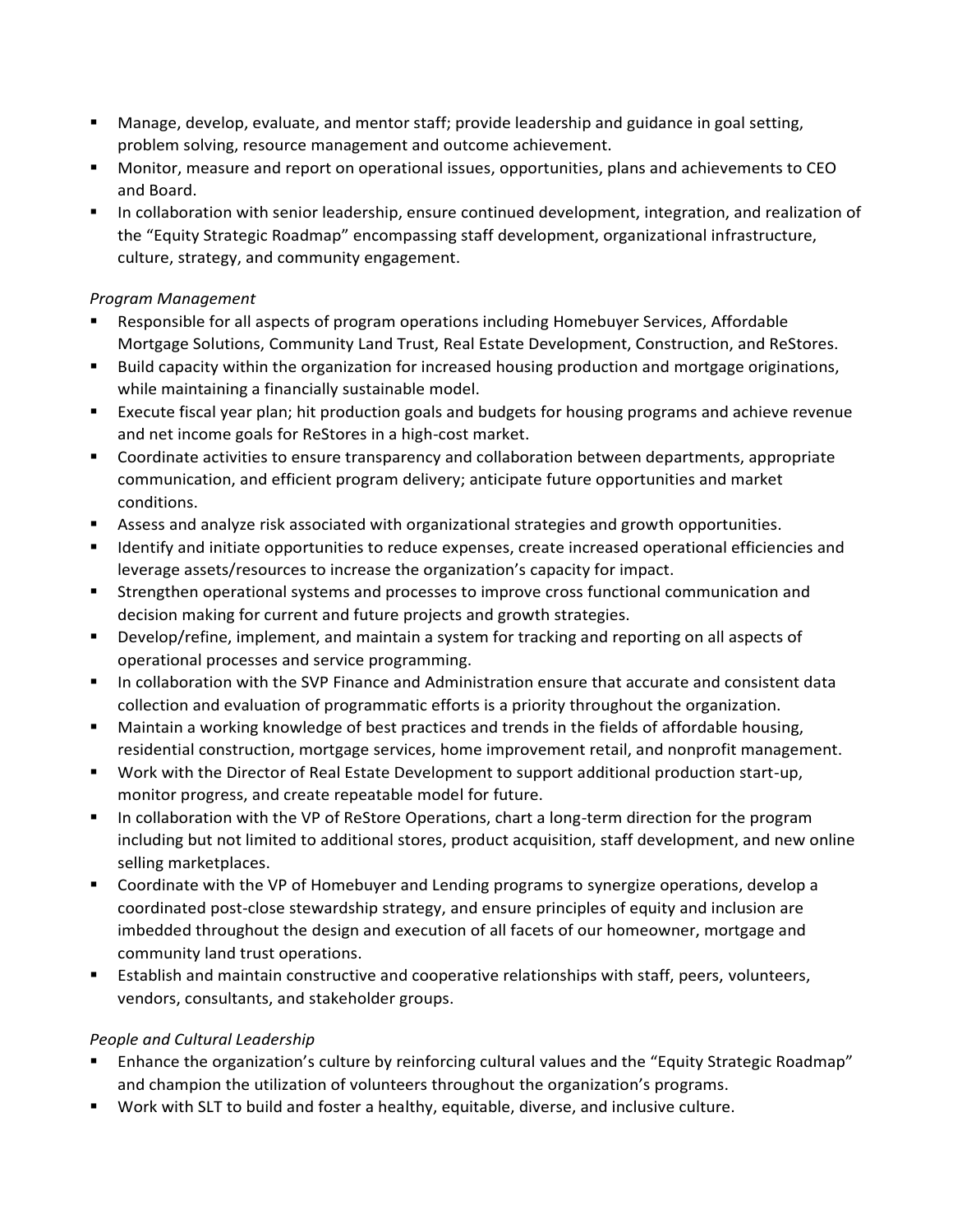- **E** Manage, develop, evaluate, and mentor staff; provide leadership and guidance in goal setting, problem solving, resource management and outcome achievement.
- Monitor, measure and report on operational issues, opportunities, plans and achievements to CEO and Board.
- In collaboration with senior leadership, ensure continued development, integration, and realization of the "Equity Strategic Roadmap" encompassing staff development, organizational infrastructure, culture, strategy, and community engagement.

## *Program Management*

- Responsible for all aspects of program operations including Homebuyer Services, Affordable Mortgage Solutions, Community Land Trust, Real Estate Development, Construction, and ReStores.
- Build capacity within the organization for increased housing production and mortgage originations, while maintaining a financially sustainable model.
- Execute fiscal year plan; hit production goals and budgets for housing programs and achieve revenue and net income goals for ReStores in a high-cost market.
- Coordinate activities to ensure transparency and collaboration between departments, appropriate communication, and efficient program delivery; anticipate future opportunities and market conditions.
- Assess and analyze risk associated with organizational strategies and growth opportunities.
- **■** Identify and initiate opportunities to reduce expenses, create increased operational efficiencies and leverage assets/resources to increase the organization's capacity for impact.
- **EXECT** Strengthen operational systems and processes to improve cross functional communication and decision making for current and future projects and growth strategies.
- Develop/refine, implement, and maintain a system for tracking and reporting on all aspects of operational processes and service programming.
- In collaboration with the SVP Finance and Administration ensure that accurate and consistent data collection and evaluation of programmatic efforts is a priority throughout the organization.
- Maintain a working knowledge of best practices and trends in the fields of affordable housing, residential construction, mortgage services, home improvement retail, and nonprofit management.
- Work with the Director of Real Estate Development to support additional production start-up, monitor progress, and create repeatable model for future.
- In collaboration with the VP of ReStore Operations, chart a long-term direction for the program including but not limited to additional stores, product acquisition, staff development, and new online selling marketplaces.
- Coordinate with the VP of Homebuyer and Lending programs to synergize operations, develop a coordinated post-close stewardship strategy, and ensure principles of equity and inclusion are imbedded throughout the design and execution of all facets of our homeowner, mortgage and community land trust operations.
- **E** Establish and maintain constructive and cooperative relationships with staff, peers, volunteers, vendors, consultants, and stakeholder groups.

## *People and Cultural Leadership*

- Enhance the organization's culture by reinforcing cultural values and the "Equity Strategic Roadmap" and champion the utilization of volunteers throughout the organization's programs.
- Work with SLT to build and foster a healthy, equitable, diverse, and inclusive culture.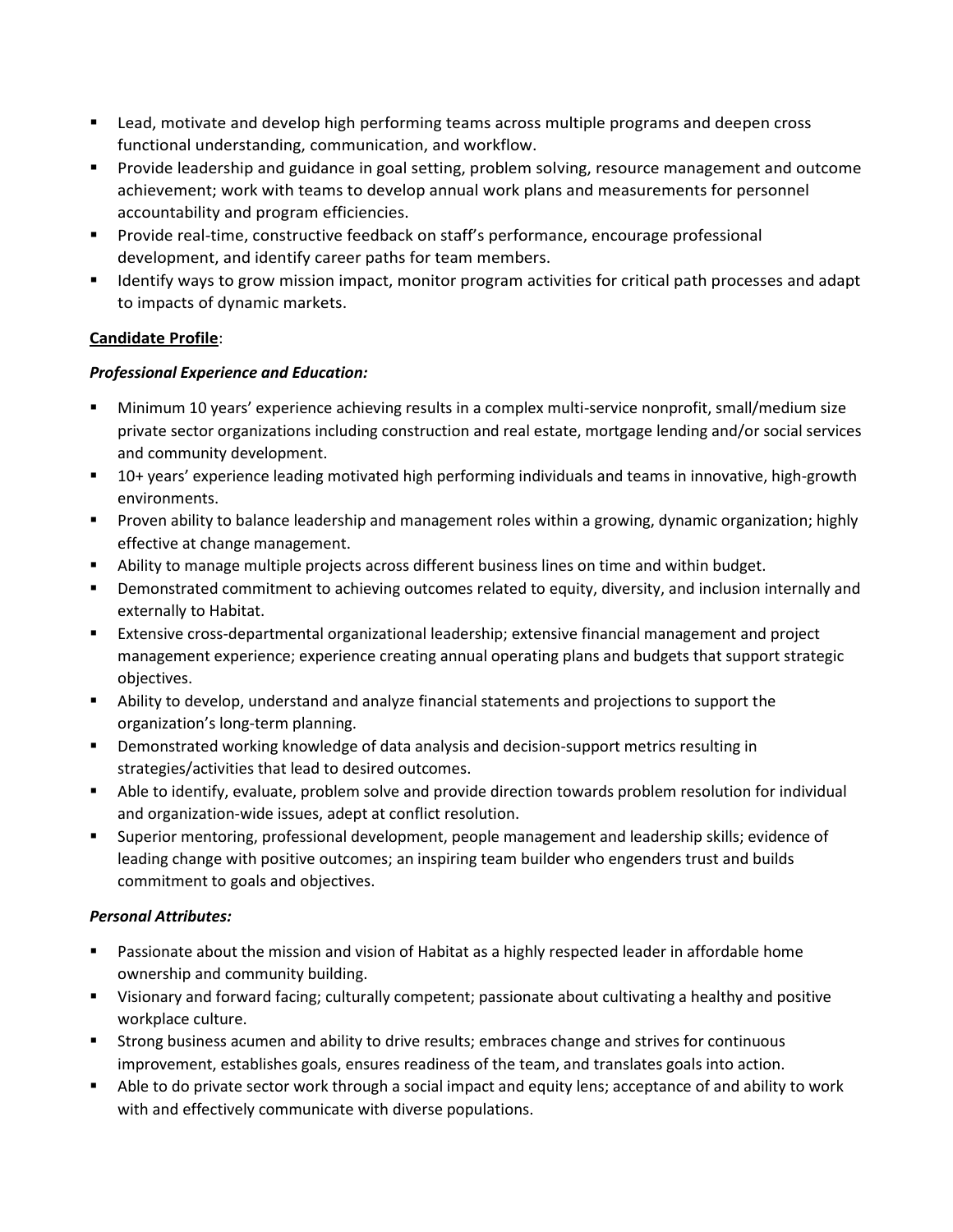- Lead, motivate and develop high performing teams across multiple programs and deepen cross functional understanding, communication, and workflow.
- Provide leadership and guidance in goal setting, problem solving, resource management and outcome achievement; work with teams to develop annual work plans and measurements for personnel accountability and program efficiencies.
- **•** Provide real-time, constructive feedback on staff's performance, encourage professional development, and identify career paths for team members.
- Identify ways to grow mission impact, monitor program activities for critical path processes and adapt to impacts of dynamic markets.

## **Candidate Profile**:

## *Professional Experience and Education:*

- **■** Minimum 10 years' experience achieving results in a complex multi-service nonprofit, small/medium size private sector organizations including construction and real estate, mortgage lending and/or social services and community development.
- 10+ years' experience leading motivated high performing individuals and teams in innovative, high-growth environments.
- Proven ability to balance leadership and management roles within a growing, dynamic organization; highly effective at change management.
- Ability to manage multiple projects across different business lines on time and within budget.
- **•** Demonstrated commitment to achieving outcomes related to equity, diversity, and inclusion internally and externally to Habitat.
- Extensive cross-departmental organizational leadership; extensive financial management and project management experience; experience creating annual operating plans and budgets that support strategic objectives.
- Ability to develop, understand and analyze financial statements and projections to support the organization's long-term planning.
- Demonstrated working knowledge of data analysis and decision-support metrics resulting in strategies/activities that lead to desired outcomes.
- Able to identify, evaluate, problem solve and provide direction towards problem resolution for individual and organization-wide issues, adept at conflict resolution.
- Superior mentoring, professional development, people management and leadership skills; evidence of leading change with positive outcomes; an inspiring team builder who engenders trust and builds commitment to goals and objectives.

## *Personal Attributes:*

- Passionate about the mission and vision of Habitat as a highly respected leader in affordable home ownership and community building.
- Visionary and forward facing; culturally competent; passionate about cultivating a healthy and positive workplace culture.
- Strong business acumen and ability to drive results; embraces change and strives for continuous improvement, establishes goals, ensures readiness of the team, and translates goals into action.
- Able to do private sector work through a social impact and equity lens; acceptance of and ability to work with and effectively communicate with diverse populations.